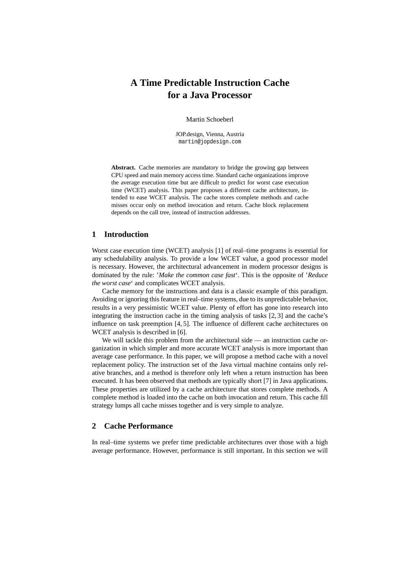# **A Time Predictable Instruction Cache for a Java Processor**

Martin Schoeberl

JOP.design, Vienna, Austria martin@jopdesign.com

**Abstract.** Cache memories are mandatory to bridge the growing gap between CPU speed and main memory access time. Standard cache organizations improve the average execution time but are difficult to predict for worst case execution time (WCET) analysis. This paper proposes a different cache architecture, intended to ease WCET analysis. The cache stores complete methods and cache misses occur only on method invocation and return. Cache block replacement depends on the call tree, instead of instruction addresses.

# **1 Introduction**

Worst case execution time (WCET) analysis [1] of real–time programs is essential for any schedulability analysis. To provide a low WCET value, a good processor model is necessary. However, the architectural advancement in modern processor designs is dominated by the rule: '*Make the common case fast*'. This is the opposite of '*Reduce the worst case*' and complicates WCET analysis.

Cache memory for the instructions and data is a classic example of this paradigm. Avoiding or ignoring this feature in real–time systems, due to its unpredictable behavior, results in a very pessimistic WCET value. Plenty of effort has gone into research into integrating the instruction cache in the timing analysis of tasks [2, 3] and the cache's influence on task preemption [4, 5]. The influence of different cache architectures on WCET analysis is described in [6].

We will tackle this problem from the architectural side — an instruction cache organization in which simpler and more accurate WCET analysis is more important than average case performance. In this paper, we will propose a method cache with a novel replacement policy. The instruction set of the Java virtual machine contains only relative branches, and a method is therefore only left when a return instruction has been executed. It has been observed that methods are typically short [7] in Java applications. These properties are utilized by a cache architecture that stores complete methods. A complete method is loaded into the cache on both invocation and return. This cache fill strategy lumps all cache misses together and is very simple to analyze.

# **2 Cache Performance**

In real–time systems we prefer time predictable architectures over those with a high average performance. However, performance is still important. In this section we will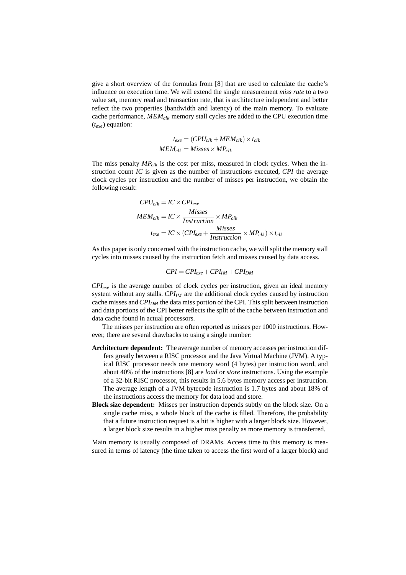give a short overview of the formulas from [8] that are used to calculate the cache's influence on execution time. We will extend the single measurement *miss rate* to a two value set, memory read and transaction rate, that is architecture independent and better reflect the two properties (bandwidth and latency) of the main memory. To evaluate cache performance, *MEMclk* memory stall cycles are added to the CPU execution time (*texe*) equation:

$$
t_{exe} = (CPU_{clk} + MEM_{clk}) \times t_{clk}
$$
  

$$
MEM_{clk} = Misses \times MP_{clk}
$$

The miss penalty *MPclk* is the cost per miss, measured in clock cycles. When the instruction count *IC* is given as the number of instructions executed, *CPI* the average clock cycles per instruction and the number of misses per instruction, we obtain the following result:

$$
CPU_{clk} = IC \times CPL_{exe}
$$
\n
$$
MEM_{clk} = IC \times \frac{Misses}{Instruction} \times MP_{clk}
$$
\n
$$
t_{exe} = IC \times (CPI_{exe} + \frac{Misses}{Instruction} \times MP_{clk}) \times t_{clk}
$$

As this paper is only concerned with the instruction cache, we will split the memory stall cycles into misses caused by the instruction fetch and misses caused by data access.

$$
CPI = CPI_{exe} + CPI_{IM} + CPI_{DM}
$$

*CPIexe* is the average number of clock cycles per instruction, given an ideal memory system without any stalls. *CPIIM* are the additional clock cycles caused by instruction cache misses and*CPIDM* the data miss portion of the CPI. This split between instruction and data portions of the CPI better reflects the split of the cache between instruction and data cache found in actual processors.

The misses per instruction are often reported as misses per 1000 instructions. However, there are several drawbacks to using a single number:

- **Architecture dependent:** The average number of memory accesses per instruction differs greatly between a RISC processor and the Java Virtual Machine (JVM). A typical RISC processor needs one memory word (4 bytes) per instruction word, and about 40% of the instructions [8] are *load* or *store* instructions. Using the example of a 32-bit RISC processor, this results in 5.6 bytes memory access per instruction. The average length of a JVM bytecode instruction is 1.7 bytes and about 18% of the instructions access the memory for data load and store.
- **Block size dependent:** Misses per instruction depends subtly on the block size. On a single cache miss, a whole block of the cache is filled. Therefore, the probability that a future instruction request is a hit is higher with a larger block size. However, a larger block size results in a higher miss penalty as more memory is transferred.

Main memory is usually composed of DRAMs. Access time to this memory is measured in terms of latency (the time taken to access the first word of a larger block) and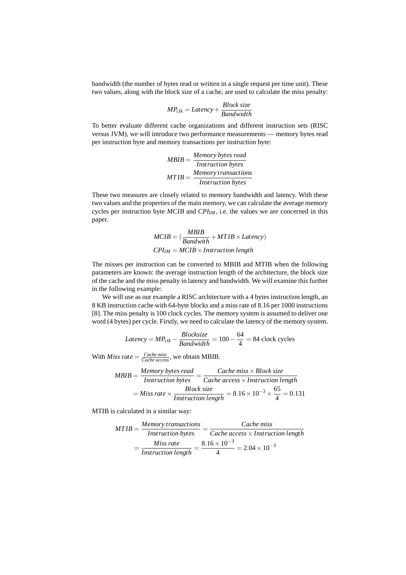bandwidth (the number of bytes read or written in a single request per time unit). These two values, along with the block size of a cache, are used to calculate the miss penalty:

$$
MP_{clk} = Latency + \frac{Block \, size}{Bandwidth}
$$

To better evaluate different cache organizations and different instruction sets (RISC versus JVM), we will introduce two performance measurements — memory bytes read per instruction byte and memory transactions per instruction byte:

> *MBIB* = *Memory bytes read Instruction bytes MT IB* = *Memory transactions Instruction bytes*

These two measures are closely related to memory bandwidth and latency. With these two values and the properties of the main memory, we can calculate the average memory cycles per instruction byte *MCIB* and *CPIIM*, i.e. the values we are concerned in this paper.

$$
MCIB = (\frac{MBIB}{Bandwith} + MTIB \times Latency)
$$
  

$$
CPI_{IM} = MCIB \times Instruction length
$$

The misses per instruction can be converted to MBIB and MTIB when the following parameters are known: the average instruction length of the architecture, the block size of the cache and the miss penalty in latency and bandwidth. We will examine this further in the following example:

We will use as our example a RISC architecture with a 4 bytes instruction length, an 8 KB instruction cache with 64-byte blocks and a miss rate of 8.16 per 1000 instructions [8]. The miss penalty is 100 clock cycles. The memory system is assumed to deliver one word (4 bytes) per cycle. Firstly, we need to calculate the latency of the memory system.

$$
Latency = MP_{clk} - \frac{Blocksize}{Bandwidth} = 100 - \frac{64}{4} = 84 \text{ clock cycles}
$$

With *Miss rate*  $=$   $\frac{Cache\,miss}{Cache\,access}$ , we obtain MBIB.

$$
MBIB = \frac{Memory \text{ bytes read}}{Instruction \text{ bytes}} = \frac{Cache \text{ miss} \times Block \text{ size}}{Cache \text{ access} \times Instruction \text{ length}}
$$

$$
= Miss \text{ rate} \times \frac{Block \text{ size}}{Instruction \text{ length}} = 8.16 \times 10^{-3} \times \frac{65}{4} = 0.131
$$

MTIB is calculated in a similar way:

MTIB = 
$$
\frac{Memory \, transactions}{Instruction \, bytes} = \frac{Cache \, miss}{Cache \, access \times Instruction \, length}
$$
  
=  $\frac{Miss \, rate}{Instruction \, length} = \frac{8.16 \times 10^{-3}}{4} = 2.04 \times 10^{-3}$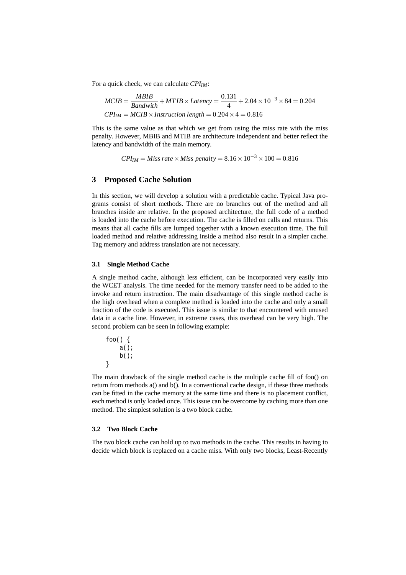For a quick check, we can calculate *CPIIM*:

$$
MCIB = \frac{MBIB}{Bandwith} + MTIB \times Latency = \frac{0.131}{4} + 2.04 \times 10^{-3} \times 84 = 0.204
$$
  
\n
$$
CPI_{IM} = MCIB \times Instruction \ length = 0.204 \times 4 = 0.816
$$

This is the same value as that which we get from using the miss rate with the miss penalty. However, MBIB and MTIB are architecture independent and better reflect the latency and bandwidth of the main memory.

 $CPI_{IM} = Miss\ rate \times Miss\ penalty = 8.16 \times 10^{-3} \times 100 = 0.816$ 

## **3 Proposed Cache Solution**

In this section, we will develop a solution with a predictable cache. Typical Java programs consist of short methods. There are no branches out of the method and all branches inside are relative. In the proposed architecture, the full code of a method is loaded into the cache before execution. The cache is filled on calls and returns. This means that all cache fills are lumped together with a known execution time. The full loaded method and relative addressing inside a method also result in a simpler cache. Tag memory and address translation are not necessary.

## **3.1 Single Method Cache**

A single method cache, although less efficient, can be incorporated very easily into the WCET analysis. The time needed for the memory transfer need to be added to the invoke and return instruction. The main disadvantage of this single method cache is the high overhead when a complete method is loaded into the cache and only a small fraction of the code is executed. This issue is similar to that encountered with unused data in a cache line. However, in extreme cases, this overhead can be very high. The second problem can be seen in following example:

$$
\begin{array}{c} \text{foo()} \{ \\ \text{a()}; \\ \text{b()}; \\ \} \end{array}
$$

The main drawback of the single method cache is the multiple cache fill of foo() on return from methods a() and b(). In a conventional cache design, if these three methods can be fitted in the cache memory at the same time and there is no placement conflict, each method is only loaded once. This issue can be overcome by caching more than one method. The simplest solution is a two block cache.

## **3.2 Two Block Cache**

The two block cache can hold up to two methods in the cache. This results in having to decide which block is replaced on a cache miss. With only two blocks, Least-Recently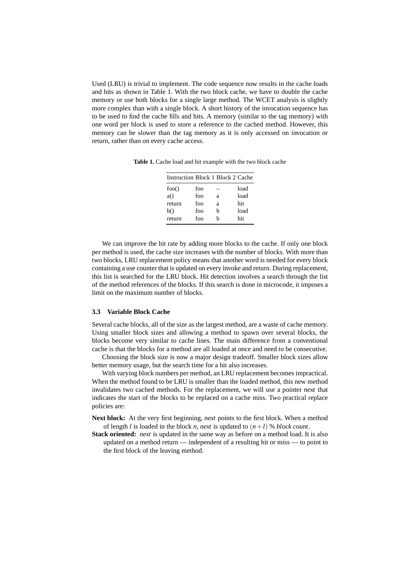Used (LRU) is trivial to implement. The code sequence now results in the cache loads and hits as shown in Table 1. With the two block cache, we have to double the cache memory or use both blocks for a single large method. The WCET analysis is slightly more complex than with a single block. A short history of the invocation sequence has to be used to find the cache fills and hits. A memory (similar to the tag memory) with one word per block is used to store a reference to the cached method. However, this memory can be slower than the tag memory as it is only accessed on invocation or return, rather than on every cache access.

**Table 1.** Cache load and hit example with the two block cache

| Instruction Block 1 Block 2 Cache |     |   |      |
|-----------------------------------|-----|---|------|
| foo()                             | foo |   | load |
| a()                               | foo | а | load |
| return                            | foo | a | hit  |
| b()                               | foo | h | load |
| return                            | foo | h | hit  |

We can improve the hit rate by adding more blocks to the cache. If only one block per method is used, the cache size increases with the number of blocks. With more than two blocks, LRU replacement policy means that another word is needed for every block containing a use counter that is updated on every invoke and return. During replacement, this list is searched for the LRU block. Hit detection involves a search through the list of the method references of the blocks. If this search is done in microcode, it imposes a limit on the maximum number of blocks.

#### **3.3 Variable Block Cache**

Several cache blocks, all of the size as the largest method, are a waste of cache memory. Using smaller block sizes and allowing a method to spawn over several blocks, the blocks become very similar to cache lines. The main difference from a conventional cache is that the blocks for a method are all loaded at once and need to be consecutive.

Choosing the block size is now a major design tradeoff. Smaller block sizes allow better memory usage, but the search time for a hit also increases.

With varying block numbers per method, an LRU replacement becomes impractical. When the method found to be LRU is smaller than the loaded method, this new method invalidates two cached methods. For the replacement, we will use a pointer *next* that indicates the start of the blocks to be replaced on a cache miss. Two practical replace policies are:

- **Next block:** At the very first beginning, *next* points to the first block. When a method of length *l* is loaded in the block *n*, *next* is updated to  $(n+l)$  % *block count*.
- **Stack oriented:** *next* is updated in the same way as before on a method load. It is also updated on a method return — independent of a resulting hit or miss — to point to the first block of the leaving method.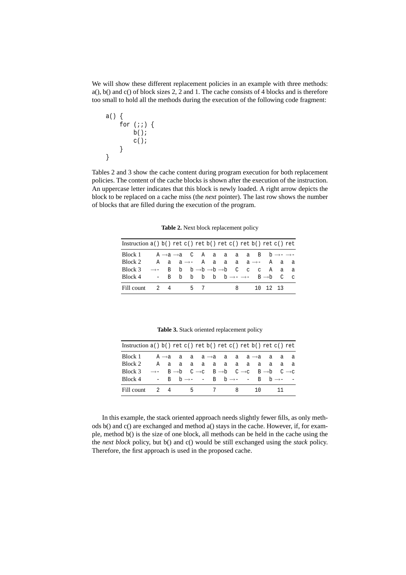We will show these different replacement policies in an example with three methods: a(), b() and c() of block sizes 2, 2 and 1. The cache consists of 4 blocks and is therefore too small to hold all the methods during the execution of the following code fragment:

```
a() {
    for (i; j) {
         b();
         c();
    }
}
```
Tables 2 and 3 show the cache content during program execution for both replacement policies. The content of the cache blocks is shown after the execution of the instruction. An uppercase letter indicates that this block is newly loaded. A right arrow depicts the block to be replaced on a cache miss (the *next* pointer). The last row shows the number of blocks that are filled during the execution of the program.

**Table 2.** Next block replacement policy

| $Instruction(a() b() ret c() ret b() ret c() ret b() ret c() ret$                       |  |  |  |  |  |                                                                                   |  |
|-----------------------------------------------------------------------------------------|--|--|--|--|--|-----------------------------------------------------------------------------------|--|
| Block 1 $A \rightarrow a \rightarrow a$ C A a a a a B b $\rightarrow$ - $\rightarrow$ - |  |  |  |  |  |                                                                                   |  |
| $Block\,2$ A a a $\rightarrow$ - A a a a a $\rightarrow$ - A a a                        |  |  |  |  |  |                                                                                   |  |
| Block 3                                                                                 |  |  |  |  |  | $\rightarrow$ - B b b $\rightarrow$ b $\rightarrow$ b $\rightarrow$ b C c c A a a |  |
| Block 4 - B b b b b b $\rightarrow$ - $\rightarrow$ - B $\rightarrow$ b C c             |  |  |  |  |  |                                                                                   |  |
| Fill count 2 4 5 7 8 10 12 13                                                           |  |  |  |  |  |                                                                                   |  |

**Table 3.** Stack oriented replacement policy

| Instruction $a() b()$ ret $c()$ ret $b()$ ret $c()$ ret $b()$ ret $c()$ ret |  |  |  |  |  |                                                                                                                             |  |
|-----------------------------------------------------------------------------|--|--|--|--|--|-----------------------------------------------------------------------------------------------------------------------------|--|
| Block 1                                                                     |  |  |  |  |  | $\texttt{A}\rightarrow \texttt{a}$ a a $\rightarrow \texttt{a}$ a a a a a a a a $\rightarrow$                               |  |
| Block 2                                                                     |  |  |  |  |  | Aaaaaaaaaaaaa                                                                                                               |  |
| Block 3                                                                     |  |  |  |  |  | $\rightarrow$ - B $\rightarrow$ b C $\rightarrow$ c B $\rightarrow$ b C $\rightarrow$ c B $\rightarrow$ b C $\rightarrow$ c |  |
| Block 4                                                                     |  |  |  |  |  | $-$ B b $\rightarrow$ - - B b $\rightarrow$ - - B b $\rightarrow$ - -                                                       |  |
| Fill count 2 4 5 7 8 10 11                                                  |  |  |  |  |  |                                                                                                                             |  |

In this example, the stack oriented approach needs slightly fewer fills, as only methods b() and c() are exchanged and method a() stays in the cache. However, if, for example, method b() is the size of one block, all methods can be held in the cache using the the *next block* policy, but b() and c() would be still exchanged using the *stack* policy. Therefore, the first approach is used in the proposed cache.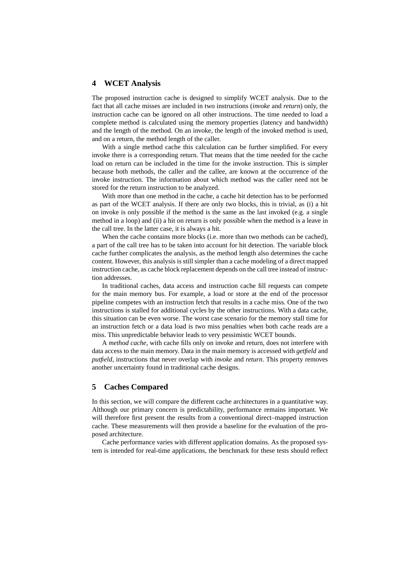## **4 WCET Analysis**

The proposed instruction cache is designed to simplify WCET analysis. Due to the fact that all cache misses are included in two instructions (*invoke* and *return*) only, the instruction cache can be ignored on all other instructions. The time needed to load a complete method is calculated using the memory properties (latency and bandwidth) and the length of the method. On an invoke, the length of the invoked method is used, and on a return, the method length of the caller.

With a single method cache this calculation can be further simplified. For every invoke there is a corresponding return. That means that the time needed for the cache load on return can be included in the time for the invoke instruction. This is simpler because both methods, the caller and the callee, are known at the occurrence of the invoke instruction. The information about which method was the caller need not be stored for the return instruction to be analyzed.

With more than one method in the cache, a cache hit detection has to be performed as part of the WCET analysis. If there are only two blocks, this is trivial, as (i) a hit on invoke is only possible if the method is the same as the last invoked (e.g. a single method in a loop) and (ii) a hit on return is only possible when the method is a leave in the call tree. In the latter case, it is always a hit.

When the cache contains more blocks (i.e. more than two methods can be cached), a part of the call tree has to be taken into account for hit detection. The variable block cache further complicates the analysis, as the method length also determines the cache content. However, this analysis is still simpler than a cache modeling of a direct mapped instruction cache, as cache block replacement depends on the call tree instead of instruction addresses.

In traditional caches, data access and instruction cache fill requests can compete for the main memory bus. For example, a load or store at the end of the processor pipeline competes with an instruction fetch that results in a cache miss. One of the two instructions is stalled for additional cycles by the other instructions. With a data cache, this situation can be even worse. The worst case scenario for the memory stall time for an instruction fetch or a data load is two miss penalties when both cache reads are a miss. This unpredictable behavior leads to very pessimistic WCET bounds.

A *method cache*, with cache fills only on invoke and return, does not interfere with data access to the main memory. Data in the main memory is accessed with *getfield* and *putfield*, instructions that never overlap with *invoke* and *return*. This property removes another uncertainty found in traditional cache designs.

# **5 Caches Compared**

In this section, we will compare the different cache architectures in a quantitative way. Although our primary concern is predictability, performance remains important. We will therefore first present the results from a conventional direct–mapped instruction cache. These measurements will then provide a baseline for the evaluation of the proposed architecture.

Cache performance varies with different application domains. As the proposed system is intended for real-time applications, the benchmark for these tests should reflect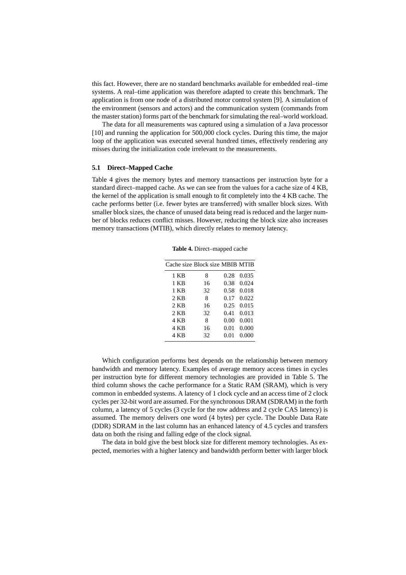this fact. However, there are no standard benchmarks available for embedded real–time systems. A real–time application was therefore adapted to create this benchmark. The application is from one node of a distributed motor control system [9]. A simulation of the environment (sensors and actors) and the communication system (commands from the master station) forms part of the benchmark for simulating the real–world workload.

The data for all measurements was captured using a simulation of a Java processor [10] and running the application for 500,000 clock cycles. During this time, the major loop of the application was executed several hundred times, effectively rendering any misses during the initialization code irrelevant to the measurements.

#### **5.1 Direct–Mapped Cache**

Table 4 gives the memory bytes and memory transactions per instruction byte for a standard direct–mapped cache. As we can see from the values for a cache size of 4 KB, the kernel of the application is small enough to fit completely into the 4 KB cache. The cache performs better (i.e. fewer bytes are transferred) with smaller block sizes. With smaller block sizes, the chance of unused data being read is reduced and the larger number of blocks reduces conflict misses. However, reducing the block size also increases memory transactions (MTIB), which directly relates to memory latency.

|        | Cache size Block size MBIB MTIB |      |       |
|--------|---------------------------------|------|-------|
| 1 KB   | 8                               | 0.28 | 0.035 |
| 1 KB   | 16                              | 0.38 | 0.024 |
| 1 KB   | 32                              | 0.58 | 0.018 |
| 2 KB   | 8                               | 0.17 | 0.022 |
| $2$ KB | 16                              | 0.25 | 0.015 |
| $2$ KB | 32                              | 0.41 | 0.013 |
| 4 KB   | 8                               | 0.00 | 0.001 |
| 4 KB   | 16                              | 0.01 | 0.000 |
| 4 KB   | 32                              | 0.01 | 0.000 |
|        |                                 |      |       |

**Table 4.** Direct–mapped cache

Which configuration performs best depends on the relationship between memory bandwidth and memory latency. Examples of average memory access times in cycles per instruction byte for different memory technologies are provided in Table 5. The third column shows the cache performance for a Static RAM (SRAM), which is very common in embedded systems. A latency of 1 clock cycle and an access time of 2 clock cycles per 32-bit word are assumed. For the synchronous DRAM (SDRAM) in the forth column, a latency of 5 cycles (3 cycle for the row address and 2 cycle CAS latency) is assumed. The memory delivers one word (4 bytes) per cycle. The Double Data Rate (DDR) SDRAM in the last column has an enhanced latency of 4.5 cycles and transfers data on both the rising and falling edge of the clock signal.

The data in bold give the best block size for different memory technologies. As expected, memories with a higher latency and bandwidth perform better with larger block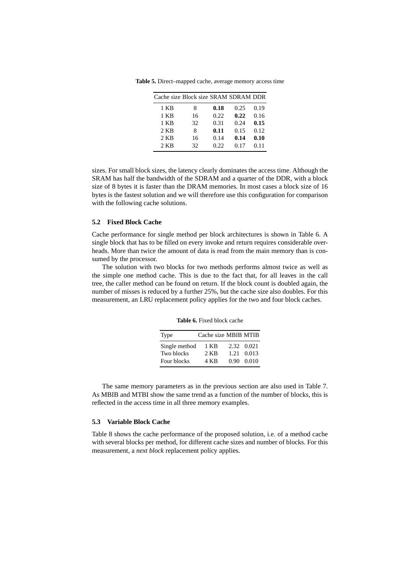**Table 5.** Direct–mapped cache, average memory access time

| Cache size Block size SRAM SDRAM DDR |    |      |      |      |
|--------------------------------------|----|------|------|------|
| 1 KB                                 | 8  | 0.18 | 0.25 | 0.19 |
| 1 KB                                 | 16 | 0.22 | 0.22 | 0.16 |
| $1$ KB                               | 32 | 0.31 | 0.24 | 0.15 |
| $2$ KB                               | 8  | 0.11 | 0.15 | 0.12 |
| $2$ KB                               | 16 | 0.14 | 0.14 | 0.10 |
| $2$ KB                               | 32 | 0.22 | 0.17 | 0.11 |

sizes. For small block sizes, the latency clearly dominates the access time. Although the SRAM has half the bandwidth of the SDRAM and a quarter of the DDR, with a block size of 8 bytes it is faster than the DRAM memories. In most cases a block size of 16 bytes is the fastest solution and we will therefore use this configuration for comparison with the following cache solutions.

#### **5.2 Fixed Block Cache**

Cache performance for single method per block architectures is shown in Table 6. A single block that has to be filled on every invoke and return requires considerable overheads. More than twice the amount of data is read from the main memory than is consumed by the processor.

The solution with two blocks for two methods performs almost twice as well as the simple one method cache. This is due to the fact that, for all leaves in the call tree, the caller method can be found on return. If the block count is doubled again, the number of misses is reduced by a further 25%, but the cache size also doubles. For this measurement, an LRU replacement policy applies for the two and four block caches.

**Table 6.** Fixed block cache

| Single method<br>1 KB |      | 2.32 0.021           |
|-----------------------|------|----------------------|
| 2. KB                 | 1.21 | 0.013                |
| 4 KB                  | 0.90 | 0.010                |
|                       |      | Cache size MBIB MTIB |

The same memory parameters as in the previous section are also used in Table 7. As MBIB and MTBI show the same trend as a function of the number of blocks, this is reflected in the access time in all three memory examples.

#### **5.3 Variable Block Cache**

Table 8 shows the cache performance of the proposed solution, i.e. of a method cache with several blocks per method, for different cache sizes and number of blocks. For this measurement, a *next block* replacement policy applies.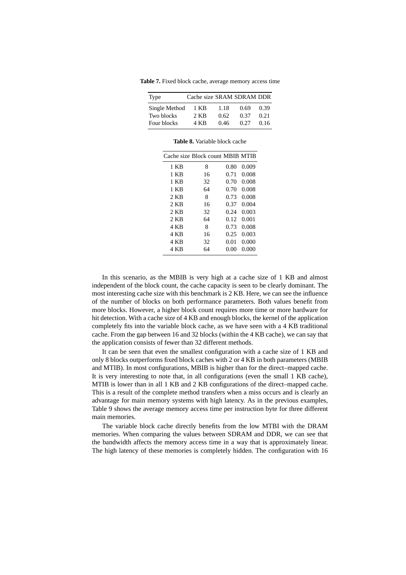**Table 7.** Fixed block cache, average memory access time

| Type          | Cache size SRAM SDRAM DDR |      |      |      |
|---------------|---------------------------|------|------|------|
| Single Method | 1 KB                      | 1.18 | 0.69 | 0.39 |
| Two blocks    | $2$ KB                    | 0.62 | 0.37 | 0.21 |
| Four blocks   | 4 KR                      | 0.46 | 0.27 | 0.16 |

| Cache size Block count MBIB MTIB |    |      |       |
|----------------------------------|----|------|-------|
| 1 KB                             | 8  | 0.80 | 0.009 |
| 1 KB                             | 16 | 0.71 | 0.008 |
| 1 KB                             | 32 | 0.70 | 0.008 |
| 1 KB                             | 64 | 0.70 | 0.008 |
| $2$ KB                           | 8  | 0.73 | 0.008 |
| 2. KB                            | 16 | 0.37 | 0.004 |
| 2 KB                             | 32 | 0.24 | 0.003 |
| 2. KB                            | 64 | 0.12 | 0.001 |
| 4 KB                             | 8  | 0.73 | 0.008 |
| 4 KB                             | 16 | 0.25 | 0.003 |
| 4 KB                             | 32 | 0.01 | 0.000 |
| 4 KB                             | 64 | 0.00 | 0.000 |

**Table 8.** Variable block cache

In this scenario, as the MBIB is very high at a cache size of 1 KB and almost independent of the block count, the cache capacity is seen to be clearly dominant. The most interesting cache size with this benchmark is 2 KB. Here, we can see the influence of the number of blocks on both performance parameters. Both values benefit from more blocks. However, a higher block count requires more time or more hardware for hit detection. With a cache size of 4 KB and enough blocks, the kernel of the application completely fits into the variable block cache, as we have seen with a 4 KB traditional cache. From the gap between 16 and 32 blocks (within the 4 KB cache), we can say that the application consists of fewer than 32 different methods.

It can be seen that even the smallest configuration with a cache size of 1 KB and only 8 blocks outperforms fixed block caches with 2 or 4 KB in both parameters (MBIB and MTIB). In most configurations, MBIB is higher than for the direct–mapped cache. It is very interesting to note that, in all configurations (even the small 1 KB cache), MTIB is lower than in all 1 KB and 2 KB configurations of the direct–mapped cache. This is a result of the complete method transfers when a miss occurs and is clearly an advantage for main memory systems with high latency. As in the previous examples, Table 9 shows the average memory access time per instruction byte for three different main memories.

The variable block cache directly benefits from the low MTBI with the DRAM memories. When comparing the values between SDRAM and DDR, we can see that the bandwidth affects the memory access time in a way that is approximately linear. The high latency of these memories is completely hidden. The configuration with 16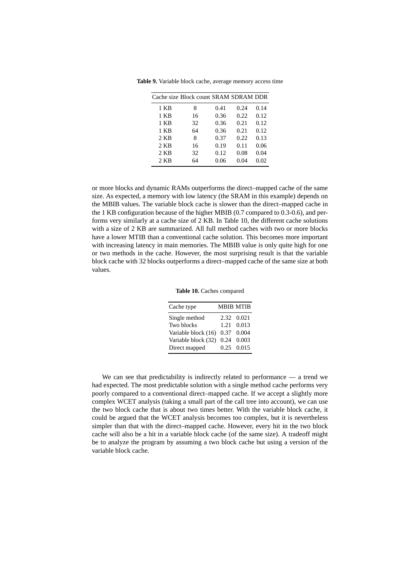|        | Cache size Block count SRAM SDRAM DDR |      |      |      |
|--------|---------------------------------------|------|------|------|
| 1 KB   | 8                                     | 0.41 | 0.24 | 0.14 |
| 1 KB   | 16                                    | 0.36 | 0.22 | 0.12 |
| 1 KB   | 32                                    | 0.36 | 0.21 | 0.12 |
| 1 KB   | 64                                    | 0.36 | 0.21 | 0.12 |
| $2$ KB | 8                                     | 0.37 | 0.22 | 0.13 |
| $2$ KB | 16                                    | 0.19 | 0.11 | 0.06 |
| $2$ KB | 32                                    | 0.12 | 0.08 | 0.04 |
| 2 KB   | 64                                    | 0.06 | 0.04 | 0.02 |

**Table 9.** Variable block cache, average memory access time

or more blocks and dynamic RAMs outperforms the direct–mapped cache of the same size. As expected, a memory with low latency (the SRAM in this example) depends on the MBIB values. The variable block cache is slower than the direct–mapped cache in the 1 KB configuration because of the higher MBIB (0.7 compared to 0.3-0.6), and performs very similarly at a cache size of 2 KB. In Table 10, the different cache solutions with a size of 2 KB are summarized. All full method caches with two or more blocks have a lower MTIB than a conventional cache solution. This becomes more important with increasing latency in main memories. The MBIB value is only quite high for one or two methods in the cache. However, the most surprising result is that the variable block cache with 32 blocks outperforms a direct–mapped cache of the same size at both values.

**Table 10.** Caches compared

| Cache type          |      | <b>MBIB MTIB</b> |
|---------------------|------|------------------|
| Single method       |      | 2.32 0.021       |
| Two blocks          |      | 1.21 0.013       |
| Variable block (16) |      | 0.37 0.004       |
| Variable block (32) | 0.24 | 0.003            |
| Direct mapped       |      | 0.25 0.015       |

We can see that predictability is indirectly related to performance — a trend we had expected. The most predictable solution with a single method cache performs very poorly compared to a conventional direct–mapped cache. If we accept a slightly more complex WCET analysis (taking a small part of the call tree into account), we can use the two block cache that is about two times better. With the variable block cache, it could be argued that the WCET analysis becomes too complex, but it is nevertheless simpler than that with the direct–mapped cache. However, every hit in the two block cache will also be a hit in a variable block cache (of the same size). A tradeoff might be to analyze the program by assuming a two block cache but using a version of the variable block cache.